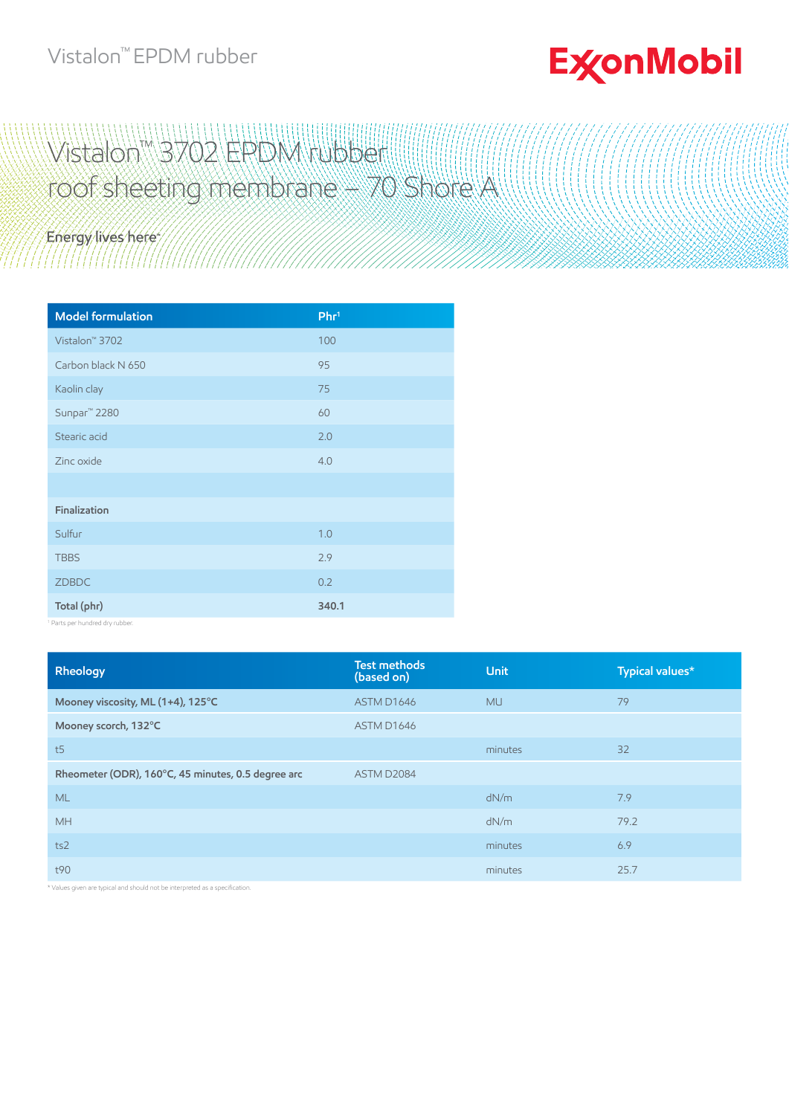## Vistalon™ EPDM rubber

## **ExconMobil**

## Wistalon™ 3702 EPDM rubber roof sheeting membrane – 70 Shore A

Energy lives here

| <b>Model formulation</b>   | Phr <sup>1</sup> |
|----------------------------|------------------|
| Vistalon <sup>™</sup> 3702 | 100              |
| Carbon black N 650         | 95               |
| Kaolin clay                | 75               |
| Sunpar <sup>™</sup> 2280   | 60               |
| Stearic acid               | 2.0              |
| Zinc oxide                 | 4.0              |
|                            |                  |
| Finalization               |                  |
| Sulfur                     | 1.0              |
| <b>TBBS</b>                | 2.9              |
| ZDBDC                      | 0.2              |
| Total (phr)                | 340.1            |

1 Parts per hundred dry rubber.

| Rheology                                           | <b>Test methods</b><br>(based on) | <b>Unit</b> | Typical values* |
|----------------------------------------------------|-----------------------------------|-------------|-----------------|
| Mooney viscosity, ML (1+4), 125°C                  | ASTM D1646                        | <b>MU</b>   | 79              |
| Mooney scorch, 132°C                               | ASTM D1646                        |             |                 |
| t5                                                 |                                   | minutes     | 32              |
| Rheometer (ODR), 160°C, 45 minutes, 0.5 degree arc | ASTM D2084                        |             |                 |
| <b>ML</b>                                          |                                   | dN/m        | 7.9             |
| <b>MH</b>                                          |                                   | dN/m        | 79.2            |
| ts2                                                |                                   | minutes     | 6.9             |
| t90                                                |                                   | minutes     | 25.7            |

Values given are typical and should not be interpreted as a specification